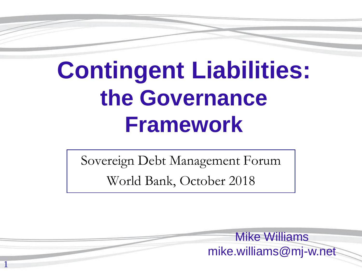# **Contingent Liabilities: the Governance Framework**

Sovereign Debt Management Forum World Bank, October 2018

1

Mike Williams mike.williams@mj-w.net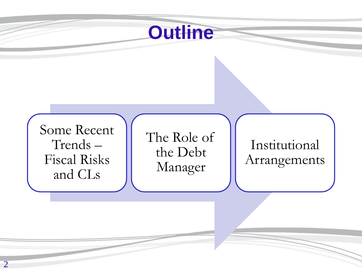### **Outline**

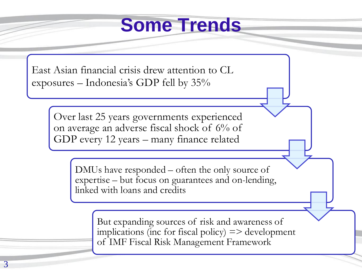### **Some Trends**

East Asian financial crisis drew attention to CL exposures – Indonesia's GDP fell by 35%

> Over last 25 years governments experienced on average an adverse fiscal shock of 6% of GDP every 12 years – many finance related

> > DMUs have responded – often the only source of expertise – but focus on guarantees and on-lending, linked with loans and credits

> > > But expanding sources of risk and awareness of implications (inc for fiscal policy) => development of IMF Fiscal Risk Management Framework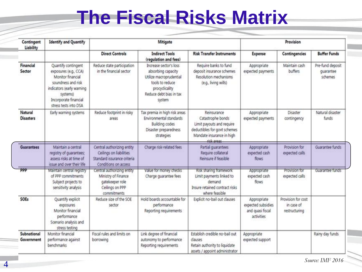### **The Fiscal Risks Matrix**

| Contingent<br>Liability     | <b>Identify and Quantify</b>                                                                                                                                                       | Mitigate                                                                                                     |                                                                                                                                                   |                                                                                                                                           | Provision                                                           |                                                   |                                          |
|-----------------------------|------------------------------------------------------------------------------------------------------------------------------------------------------------------------------------|--------------------------------------------------------------------------------------------------------------|---------------------------------------------------------------------------------------------------------------------------------------------------|-------------------------------------------------------------------------------------------------------------------------------------------|---------------------------------------------------------------------|---------------------------------------------------|------------------------------------------|
|                             |                                                                                                                                                                                    | <b>Direct Controls</b>                                                                                       | <b>Indirect Tools</b><br>(regulation and fees)                                                                                                    | <b>Risk Transfer Instruments</b>                                                                                                          | Expense                                                             | Contingencies                                     | <b>Buffer Funds</b>                      |
| Financial<br>Sector         | Quantify contingent<br>exposures (e.g., CCA)<br>Monitor financial<br>soundness and risk<br>indicators (early warning<br>systems)<br>Incorporate financial<br>stress tests into DSA | Reduce state participation<br>in the financial sector                                                        | Increase sector's loss<br>absorbing capacity<br>Utilize macroprudential<br>tools to reduce<br>procyclicality<br>Reduce debt bias in tax<br>system | Require banks to fund<br>deposit insurance schemes<br>Resolution mechanisms<br>(e.g., living wills)                                       | Appropriate<br>expected payments                                    | Maintain cash<br>buffers                          | Pre-fund deposit<br>quarantee<br>schemes |
| Natural<br><b>Disasters</b> | Early warning systems                                                                                                                                                              | Reduce footprint in risky<br>areas                                                                           | Tax premia in high risk areas<br>Environmental standards<br><b>Building codes</b><br>Disaster preparedness<br>strategies                          | Reinsurance<br>Catastrophe bonds<br>Limit payouts and require<br>deductibles for govt schemes<br>Mandate insurance in high<br>rick areas. | Appropriate<br>expected payments                                    | Disaster<br>contingency                           | Natural disaster<br>funds                |
| Guarantees                  | Maintain a central<br>registry of guarantees;<br>assess risks at time of<br>issue and over their life.                                                                             | Central authorizing entity<br>Ceilings on liabilities<br>Standard issurance criteria<br>Conditions on access | Charge risk-related fees                                                                                                                          | Partial quarantees<br>Require collateral<br>Reinsure if feasible                                                                          | Appropriate<br>expected cash<br>flows:                              | Provision for<br>expected calls                   | Guarantee funds                          |
| <b>PPP</b>                  | Maintain central registry<br>of PPP commitments<br>Subject projects to<br>sensitivity analysis                                                                                     | Central authorizing entity<br>Ministry of Finance<br>gatekeeper role<br>Ceilings on PPP<br>commitments       | Value for money checks<br>Charge guarantee fees                                                                                                   | Risk sharing framework<br>Limit payments linked to<br>demand<br>Insure retained contract risks<br>where feasible                          | Appropriate<br>expected cash<br>flows                               | Provision for<br>expected calls                   | Guarantee funds                          |
| SOEs                        | Quantify explicit<br>exposures<br>Monitor financial<br>performance<br>Scenario analysis and<br>stress testing                                                                      | Reduce size of the SOE<br>sector                                                                             | Hold boards accountable for<br>performance<br>Reporting requirements                                                                              | Explicit no-bail out clauses                                                                                                              | Appropriate<br>expected subsidies<br>and quasi fiscal<br>activities | Provision for cost<br>in case of<br>restructuring |                                          |
| Subnational<br>Government   | Monitor financial<br>performance against<br>benchmarks                                                                                                                             | Fiscal rules and limits on<br>borrowing                                                                      | Link degree of financial<br>autonomy to performance<br>Reporting requirements                                                                     | Establish credible no-bail out<br><b>clauses</b><br>Retain authority to liquidate<br>assets / appoint administrator                       | Appropriate<br>expected support                                     |                                                   | Rainy day funds                          |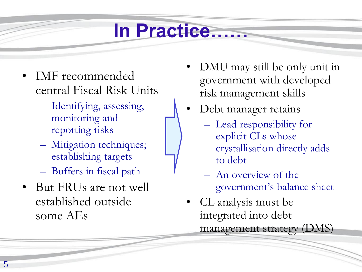### **In Practice……**

- IMF recommended central Fiscal Risk Units
	- Identifying, assessing, monitoring and reporting risks
	- Mitigation techniques; establishing targets
	- Buffers in fiscal path
- But FRUs are not well established outside some AEs
- DMU may still be only unit in government with developed risk management skills
- Debt manager retains
	- Lead responsibility for explicit CLs whose crystallisation directly adds to debt
	- An overview of the government's balance sheet
- CL analysis must be integrated into debt management strategy (DMS)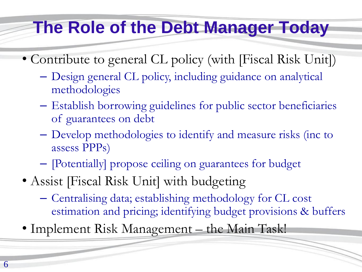### **The Role of the Debt Manager Today**

- Contribute to general CL policy (with [Fiscal Risk Unit])
	- Design general CL policy, including guidance on analytical methodologies
	- Establish borrowing guidelines for public sector beneficiaries of guarantees on debt
	- Develop methodologies to identify and measure risks (inc to assess PPPs)
	- [Potentially] propose ceiling on guarantees for budget
- Assist [Fiscal Risk Unit] with budgeting
	- Centralising data; establishing methodology for CL cost estimation and pricing; identifying budget provisions & buffers
- Implement Risk Management the Main Task!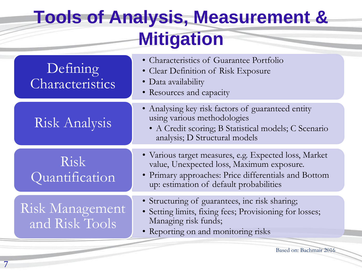### **Tools of Analysis, Measurement & Mitigation**

| Defining<br>Characteristics       | • Characteristics of Guarantee Portfolio<br>• Clear Definition of Risk Exposure<br>• Data availability<br>• Resources and capacity                                                                    |
|-----------------------------------|-------------------------------------------------------------------------------------------------------------------------------------------------------------------------------------------------------|
| Risk Analysis                     | • Analysing key risk factors of guaranteed entity<br>using various methodologies<br>• A Credit scoring; B Statistical models; C Scenario<br>analysis; D Structural models                             |
| Risk<br>Quantification            | · Various target measures, e.g. Expected loss, Market<br>value, Unexpected loss, Maximum exposure.<br>• Primary approaches: Price differentials and Bottom<br>up: estimation of default probabilities |
| Risk Management<br>and Risk Tools | • Structuring of guarantees, inc risk sharing;<br>• Setting limits, fixing fees; Provisioning for losses;<br>Managing risk funds;<br>• Reporting on and monitoring risks                              |

Based on: Bachmair 2016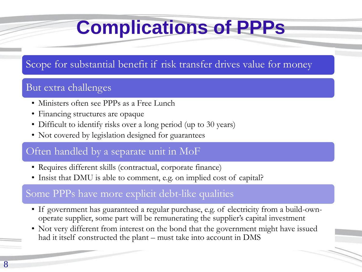## **Complications of PPPs**

#### Scope for substantial benefit if risk transfer drives value for money

#### But extra challenges

- Ministers often see PPPs as a Free Lunch
- Financing structures are opaque
- Difficult to identify risks over a long period (up to 30 years)
- Not covered by legislation designed for guarantees

#### Often handled by a separate unit in MoF

- Requires different skills (contractual, corporate finance)
- Insist that DMU is able to comment, e.g. on implied cost of capital?

#### Some PPPs have more explicit debt-like qualities

- If government has guaranteed a regular purchase, e.g. of electricity from a build-ownoperate supplier, some part will be remunerating the supplier's capital investment
- Not very different from interest on the bond that the government might have issued had it itself constructed the plant – must take into account in DMS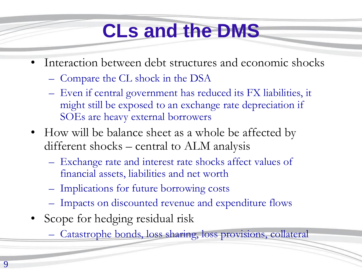## **CLs and the DMS**

- Interaction between debt structures and economic shocks
	- Compare the CL shock in the DSA
	- Even if central government has reduced its FX liabilities, it might still be exposed to an exchange rate depreciation if SOEs are heavy external borrowers
- How will be balance sheet as a whole be affected by different shocks – central to ALM analysis
	- Exchange rate and interest rate shocks affect values of financial assets, liabilities and net worth
	- Implications for future borrowing costs
	- Impacts on discounted revenue and expenditure flows
- Scope for hedging residual risk
	- Catastrophe bonds, loss sharing, loss provisions, collateral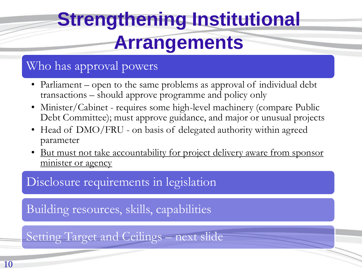## **Strengthening Institutional Arrangements**

#### Who has approval powers

- Parliament open to the same problems as approval of individual debt transactions – should approve programme and policy only
- Minister/Cabinet requires some high-level machinery (compare Public Debt Committee); must approve guidance, and major or unusual projects
- Head of DMO/FRU on basis of delegated authority within agreed parameter
- But must not take accountability for project delivery aware from sponsor minister or agency

Disclosure requirements in legislation

Building resources, skills, capabilities

Setting Target and Ceilings – next slide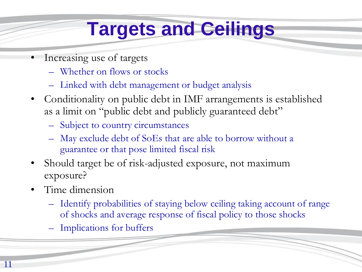## **Targets and Ceilings**

- Increasing use of targets
	- Whether on flows or stocks
	- Linked with debt management or budget analysis
- Conditionality on public debt in IMF arrangements is established as a limit on "public debt and publicly guaranteed debt"
	- Subject to country circumstances
	- May exclude debt of SoEs that are able to borrow without a guarantee or that pose limited fiscal risk
- Should target be of risk-adjusted exposure, not maximum exposure?
- Time dimension
	- Identify probabilities of staying below ceiling taking account of range of shocks and average response of fiscal policy to those shocks
	- Implications for buffers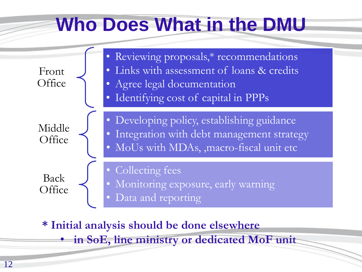### **Who Does What in the DMU**



**\* Initial analysis should be done elsewhere**

• **in SoE, line ministry or dedicated MoF unit**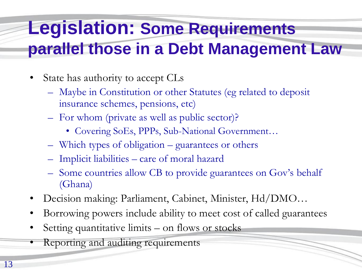### **Legislation: Some Requirements parallel those in a Debt Management Law**

- State has authority to accept CLs
	- Maybe in Constitution or other Statutes (eg related to deposit insurance schemes, pensions, etc)
	- For whom (private as well as public sector)?
		- Covering SoEs, PPPs, Sub-National Government…
	- Which types of obligation guarantees or others
	- Implicit liabilities care of moral hazard
	- Some countries allow CB to provide guarantees on Gov's behalf (Ghana)
- Decision making: Parliament, Cabinet, Minister, Hd/DMO…
- Borrowing powers include ability to meet cost of called guarantees
- Setting quantitative limits on flows or stocks
- Reporting and auditing requirements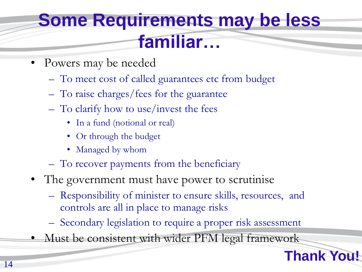### **Some Requirements may be less familiar…**

- Powers may be needed
	- To meet cost of called guarantees etc from budget
	- To raise charges/fees for the guarantee
	- To clarify how to use/invest the fees
		- In a fund (notional or real)
		- Or through the budget
		- Managed by whom
	- To recover payments from the beneficiary
- The government must have power to scrutinise
	- Responsibility of minister to ensure skills, resources, and controls are all in place to manage risks
	- Secondary legislation to require a proper risk assessment

**Thank You!**

• Must be consistent with wider PFM legal framework